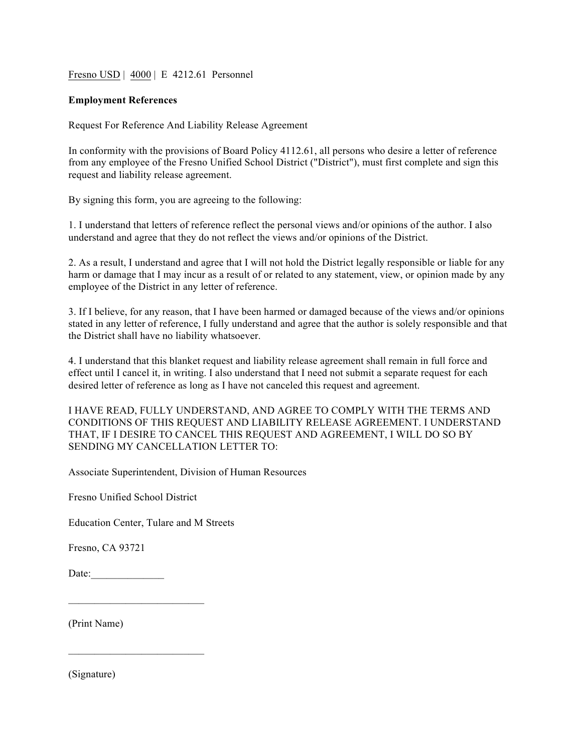Fresno USD | 4000 | E 4212.61 Personnel

## **Employment References**

Request For Reference And Liability Release Agreement

In conformity with the provisions of Board Policy 4112.61, all persons who desire a letter of reference from any employee of the Fresno Unified School District ("District"), must first complete and sign this request and liability release agreement.

By signing this form, you are agreeing to the following:

1. I understand that letters of reference reflect the personal views and/or opinions of the author. I also understand and agree that they do not reflect the views and/or opinions of the District.

2. As a result, I understand and agree that I will not hold the District legally responsible or liable for any harm or damage that I may incur as a result of or related to any statement, view, or opinion made by any employee of the District in any letter of reference.

3. If I believe, for any reason, that I have been harmed or damaged because of the views and/or opinions stated in any letter of reference, I fully understand and agree that the author is solely responsible and that the District shall have no liability whatsoever.

4. I understand that this blanket request and liability release agreement shall remain in full force and effect until I cancel it, in writing. I also understand that I need not submit a separate request for each desired letter of reference as long as I have not canceled this request and agreement.

I HAVE READ, FULLY UNDERSTAND, AND AGREE TO COMPLY WITH THE TERMS AND CONDITIONS OF THIS REQUEST AND LIABILITY RELEASE AGREEMENT. I UNDERSTAND THAT, IF I DESIRE TO CANCEL THIS REQUEST AND AGREEMENT, I WILL DO SO BY SENDING MY CANCELLATION LETTER TO:

Associate Superintendent, Division of Human Resources

Fresno Unified School District

 $\mathcal{L}_\text{max}$  and  $\mathcal{L}_\text{max}$  and  $\mathcal{L}_\text{max}$  and  $\mathcal{L}_\text{max}$ 

 $\mathcal{L}_\text{max}$  and  $\mathcal{L}_\text{max}$  and  $\mathcal{L}_\text{max}$  and  $\mathcal{L}_\text{max}$ 

Education Center, Tulare and M Streets

Fresno, CA 93721

Date: $\frac{1}{\sqrt{1-\frac{1}{2}}}\frac{1}{\sqrt{1-\frac{1}{2}}}\frac{1}{\sqrt{1-\frac{1}{2}}}\frac{1}{\sqrt{1-\frac{1}{2}}}\frac{1}{\sqrt{1-\frac{1}{2}}}\frac{1}{\sqrt{1-\frac{1}{2}}}\frac{1}{\sqrt{1-\frac{1}{2}}}\frac{1}{\sqrt{1-\frac{1}{2}}}\frac{1}{\sqrt{1-\frac{1}{2}}}\frac{1}{\sqrt{1-\frac{1}{2}}}\frac{1}{\sqrt{1-\frac{1}{2}}}\frac{1}{\sqrt{1-\frac{1}{2}}}\frac{1}{\sqrt{1-\frac{1}{2}}}\frac{1}{\sqrt$ 

(Print Name)

(Signature)